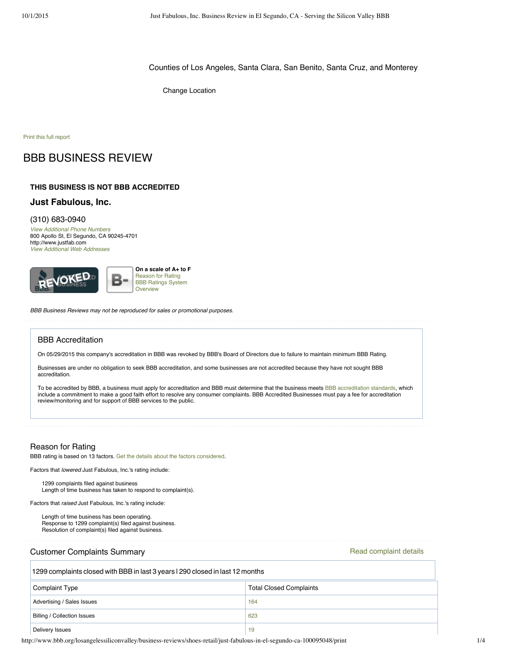Counties of Los Angeles, Santa Clara, San Benito, Santa Cruz, and Monterey

Change Location

Print this full report

# BBB BUSINESS REVIEW

### **THIS BUSINESS IS NOT BBB ACCREDITED**

### **Just Fabulous, Inc.**

#### (310) 683-0940

View Additional Phone Numbers 800 Apollo St, El Segundo, CA 90245-4701 http://www.justfab.com View Additional Web Addresses



BBB Business Reviews may not be reproduced for sales or promotional purposes.

## BBB Accreditation

On 05/29/2015 this company's accreditation in BBB was revoked by BBB's Board of Directors due to failure to maintain minimum BBB Rating.

Businesses are under no obligation to seek BBB accreditation, and some businesses are not accredited because they have not sought BBB accreditation.

To be accredited by BBB, a business must apply for accreditation and BBB must determine that the business meets BBB accreditation standards, which include a commitment to make a good faith effort to resolve any consumer complaints. BBB Accredited Businesses must pay a fee for accreditation review/monitoring and for support of BBB services to the public.

#### Reason for Rating

BBB rating is based on 13 factors. Get the details about the factors considered.

Factors that lowered Just Fabulous, Inc.'s rating include:

1299 complaints filed against business Length of time business has taken to respond to complaint(s).

Factors that raised Just Fabulous, Inc.'s rating include:

Length of time business has been operating. Response to 1299 complaint(s) filed against business. Resolution of complaint(s) filed against business.

## Customer Complaints Summary

#### Read complaint details

|  | 1299 complaints closed with BBB in last 3 years 1290 closed in last 12 months |                                |  |
|--|-------------------------------------------------------------------------------|--------------------------------|--|
|  | <b>Complaint Type</b>                                                         | <b>Total Closed Complaints</b> |  |
|  | Advertising / Sales Issues                                                    | 164                            |  |
|  | Billing / Collection Issues                                                   | 623                            |  |
|  | <b>Delivery Issues</b>                                                        | 19                             |  |

http://www.bbb.org/losangelessiliconvalley/business-reviews/shoes-retail/just-fabulous-in-el-segundo-ca-100095048/print 1/4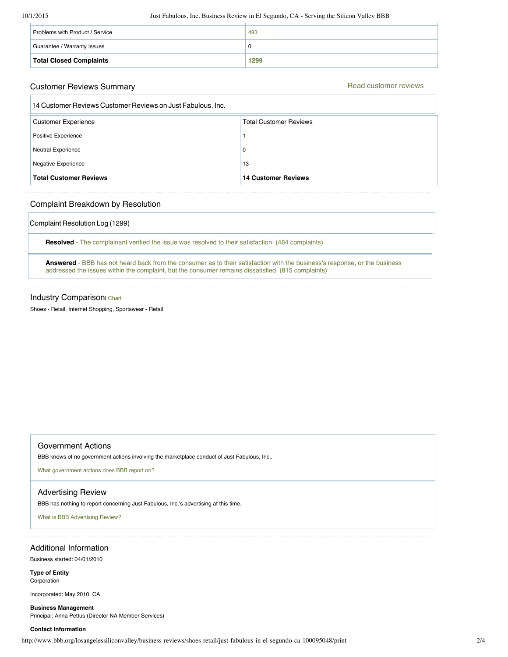10/1/2015 Just Fabulous, Inc. Business Review in El Segundo, CA - Serving the Silicon Valley BBB

| Problems with Product / Service | 493  |
|---------------------------------|------|
| Guarantee / Warranty Issues     |      |
| <b>Total Closed Complaints</b>  | 1299 |

# Customer Reviews Summary

Read customer reviews

| 14 Customer Reviews Customer Reviews on Just Fabulous, Inc. |                               |
|-------------------------------------------------------------|-------------------------------|
| <b>Customer Experience</b>                                  | <b>Total Customer Reviews</b> |
| Positive Experience                                         |                               |
| <b>Neutral Experience</b>                                   | 0                             |
| <b>Negative Experience</b>                                  | 13                            |
| <b>Total Customer Reviews</b>                               | <b>14 Customer Reviews</b>    |

## Complaint Breakdown by Resolution

Complaint Resolution Log (1299)

**Resolved** - The complainant verified the issue was resolved to their satisfaction. (484 complaints)

**Answered** - BBB has not heard back from the consumer as to their satisfaction with the business's response, or the business addressed the issues within the complaint, but the consumer remains dissatisfied. (815 complaints)

### Industry Comparison Chart

Shoes - Retail, Internet Shopping, Sportswear - Retail

## Government Actions

BBB knows of no government actions involving the marketplace conduct of Just Fabulous, Inc..

What government actions does BBB report on?

## Advertising Review

BBB has nothing to report concerning Just Fabulous, Inc.'s advertising at this time.

What is BBB Advertising Review?

# Additional Information

Business started: 04/01/2010

**Type of Entity** Corporation

Incorporated: May 2010, CA

**Business Management** Principal: Anna Pettus (Director NA Member Services)

## **Contact Information**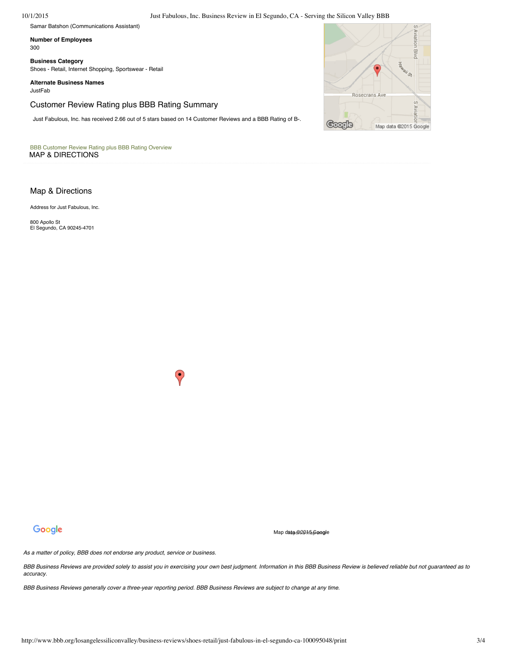#### 10/1/2015 Just Fabulous, Inc. Business Review in El Segundo, CA - Serving the Silicon Valley BBB

Samar Batshon (Communications Assistant)

#### **Number of Employees** 300

**Business Category** Shoes - Retail, Internet Shopping, Sportswear - Retail

#### **Alternate Business Names** JustFab

# Customer Review Rating plus BBB Rating Summary

Just Fabulous, Inc. has received 2.66 out of 5 stars based on 14 Customer Reviews and a BBB Rating of B-.

#### BBB Customer Review Rating plus BBB Rating Overview MAP & DIRECTIONS

## Map & Directions

Address for Just Fabulous, Inc.

800 Apollo St El Segundo, CA 90245-4701



# Google

Map d**ata@201m5a**coogle

As a matter of policy, BBB does not endorse any product, service or business.

BBB Business Reviews are provided solely to assist you in exercising your own best judgment. Information in this BBB Business Review is believed reliable but not guaranteed as to accuracy.

BBB Business Reviews generally cover a three-year reporting period. BBB Business Reviews are subject to change at any time.